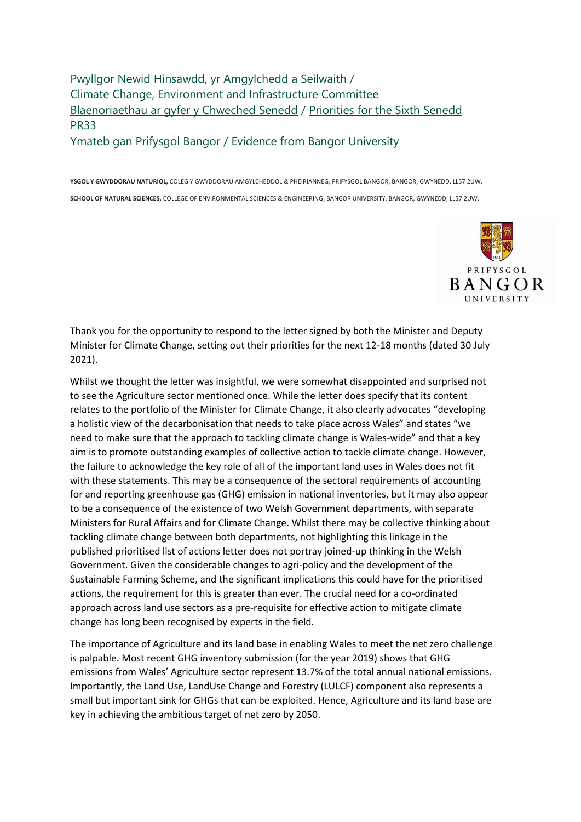Pwyllgor Newid Hinsawdd, yr Amgylchedd a Seilwaith / Climate Change, Environment and Infrastructure Committee [Blaenoriaethau ar gyfer y Chweched Senedd](https://busnes.senedd.cymru/mgConsultationDisplay.aspx?id=427&RPID=1026452002&cp=yes) / [Priorities for the Sixth Senedd](https://business.senedd.wales/mgConsultationDisplay.aspx?id=427&RPID=1026452002&cp=yes) PR33 Ymateb gan Prifysgol Bangor / Evidence from Bangor University

**YSGOL Y GWYDDORAU NATURIOL,** COLEG Y GWYDDORAU AMGYLCHEDDOL & PHEIRIANNEG, PRIFYSGOL BANGOR, BANGOR, GWYNEDD, LL57 2UW. **SCHOOL OF NATURAL SCIENCES,** COLLEGE OF ENVIRONMENTAL SCIENCES & ENGINEERING, BANGOR UNIVERSITY, BANGOR, GWYNEDD, LL57 2UW.



Thank you for the opportunity to respond to the letter signed by both the Minister and Deputy Minister for Climate Change, setting out their priorities for the next 12-18 months (dated 30 July 2021).

Whilst we thought the letter was insightful, we were somewhat disappointed and surprised not to see the Agriculture sector mentioned once. While the letter does specify that its content relates to the portfolio of the Minister for Climate Change, it also clearly advocates "developing a holistic view of the decarbonisation that needs to take place across Wales" and states "we need to make sure that the approach to tackling climate change is Wales-wide" and that a key aim is to promote outstanding examples of collective action to tackle climate change. However, the failure to acknowledge the key role of all of the important land uses in Wales does not fit with these statements. This may be a consequence of the sectoral requirements of accounting for and reporting greenhouse gas (GHG) emission in national inventories, but it may also appear to be a consequence of the existence of two Welsh Government departments, with separate Ministers for Rural Affairs and for Climate Change. Whilst there may be collective thinking about tackling climate change between both departments, not highlighting this linkage in the published prioritised list of actions letter does not portray joined-up thinking in the Welsh Government. Given the considerable changes to agri-policy and the development of the Sustainable Farming Scheme, and the significant implications this could have for the prioritised actions, the requirement for this is greater than ever. The crucial need for a co-ordinated approach across land use sectors as a pre-requisite for effective action to mitigate climate change has long been recognised by experts in the field.

The importance of Agriculture and its land base in enabling Wales to meet the net zero challenge is palpable. Most recent GHG inventory submission (for the year 2019) shows that GHG emissions from Wales' Agriculture sector represent 13.7% of the total annual national emissions. Importantly, the Land Use, LandUse Change and Forestry (LULCF) component also represents a small but important sink for GHGs that can be exploited. Hence, Agriculture and its land base are key in achieving the ambitious target of net zero by 2050.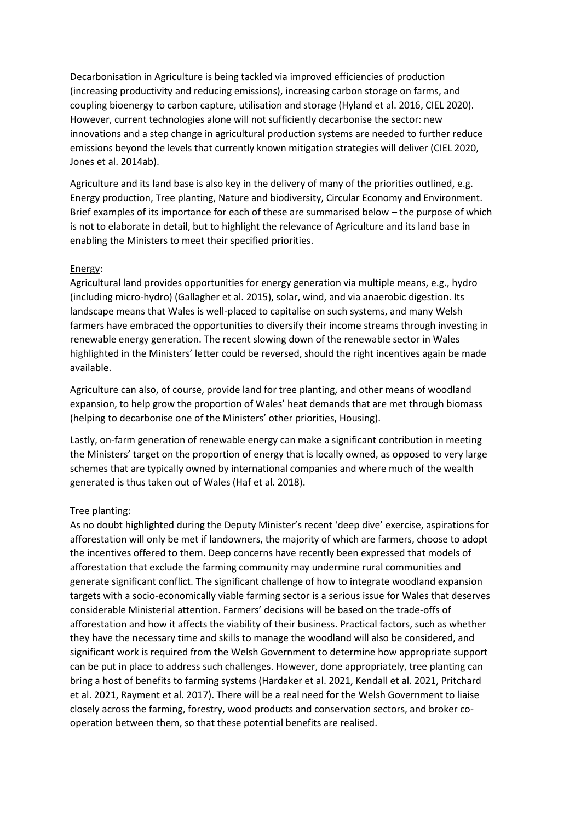Decarbonisation in Agriculture is being tackled via improved efficiencies of production (increasing productivity and reducing emissions), increasing carbon storage on farms, and coupling bioenergy to carbon capture, utilisation and storage (Hyland et al. 2016, CIEL 2020). However, current technologies alone will not sufficiently decarbonise the sector: new innovations and a step change in agricultural production systems are needed to further reduce emissions beyond the levels that currently known mitigation strategies will deliver (CIEL 2020, Jones et al. 2014ab).

Agriculture and its land base is also key in the delivery of many of the priorities outlined, e.g. Energy production, Tree planting, Nature and biodiversity, Circular Economy and Environment. Brief examples of its importance for each of these are summarised below – the purpose of which is not to elaborate in detail, but to highlight the relevance of Agriculture and its land base in enabling the Ministers to meet their specified priorities.

### Energy:

Agricultural land provides opportunities for energy generation via multiple means, e.g., hydro (including micro-hydro) (Gallagher et al. 2015), solar, wind, and via anaerobic digestion. Its landscape means that Wales is well-placed to capitalise on such systems, and many Welsh farmers have embraced the opportunities to diversify their income streams through investing in renewable energy generation. The recent slowing down of the renewable sector in Wales highlighted in the Ministers' letter could be reversed, should the right incentives again be made available.

Agriculture can also, of course, provide land for tree planting, and other means of woodland expansion, to help grow the proportion of Wales' heat demands that are met through biomass (helping to decarbonise one of the Ministers' other priorities, Housing).

Lastly, on-farm generation of renewable energy can make a significant contribution in meeting the Ministers' target on the proportion of energy that is locally owned, as opposed to very large schemes that are typically owned by international companies and where much of the wealth generated is thus taken out of Wales (Haf et al. 2018).

### Tree planting:

As no doubt highlighted during the Deputy Minister's recent 'deep dive' exercise, aspirations for afforestation will only be met if landowners, the majority of which are farmers, choose to adopt the incentives offered to them. Deep concerns have recently been expressed that models of afforestation that exclude the farming community may undermine rural communities and generate significant conflict. The significant challenge of how to integrate woodland expansion targets with a socio-economically viable farming sector is a serious issue for Wales that deserves considerable Ministerial attention. Farmers' decisions will be based on the trade-offs of afforestation and how it affects the viability of their business. Practical factors, such as whether they have the necessary time and skills to manage the woodland will also be considered, and significant work is required from the Welsh Government to determine how appropriate support can be put in place to address such challenges. However, done appropriately, tree planting can bring a host of benefits to farming systems (Hardaker et al. 2021, Kendall et al. 2021, Pritchard et al. 2021, Rayment et al. 2017). There will be a real need for the Welsh Government to liaise closely across the farming, forestry, wood products and conservation sectors, and broker cooperation between them, so that these potential benefits are realised.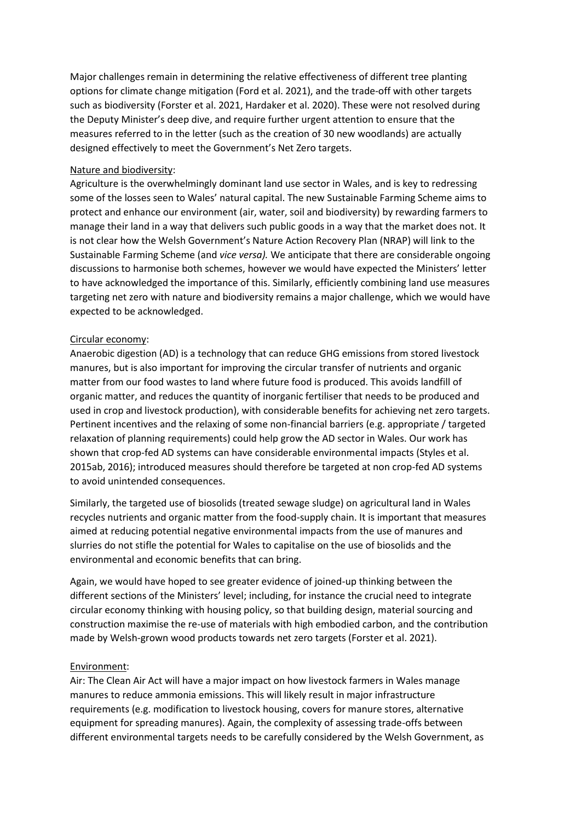Major challenges remain in determining the relative effectiveness of different tree planting options for climate change mitigation (Ford et al. 2021), and the trade-off with other targets such as biodiversity (Forster et al. 2021, Hardaker et al. 2020). These were not resolved during the Deputy Minister's deep dive, and require further urgent attention to ensure that the measures referred to in the letter (such as the creation of 30 new woodlands) are actually designed effectively to meet the Government's Net Zero targets.

## Nature and biodiversity:

Agriculture is the overwhelmingly dominant land use sector in Wales, and is key to redressing some of the losses seen to Wales' natural capital. The new Sustainable Farming Scheme aims to protect and enhance our environment (air, water, soil and biodiversity) by rewarding farmers to manage their land in a way that delivers such public goods in a way that the market does not. It is not clear how the Welsh Government's Nature Action Recovery Plan (NRAP) will link to the Sustainable Farming Scheme (and *vice versa).* We anticipate that there are considerable ongoing discussions to harmonise both schemes, however we would have expected the Ministers' letter to have acknowledged the importance of this. Similarly, efficiently combining land use measures targeting net zero with nature and biodiversity remains a major challenge, which we would have expected to be acknowledged.

# Circular economy:

Anaerobic digestion (AD) is a technology that can reduce GHG emissions from stored livestock manures, but is also important for improving the circular transfer of nutrients and organic matter from our food wastes to land where future food is produced. This avoids landfill of organic matter, and reduces the quantity of inorganic fertiliser that needs to be produced and used in crop and livestock production), with considerable benefits for achieving net zero targets. Pertinent incentives and the relaxing of some non-financial barriers (e.g. appropriate / targeted relaxation of planning requirements) could help grow the AD sector in Wales. Our work has shown that crop-fed AD systems can have considerable environmental impacts (Styles et al. 2015ab, 2016); introduced measures should therefore be targeted at non crop-fed AD systems to avoid unintended consequences.

Similarly, the targeted use of biosolids (treated sewage sludge) on agricultural land in Wales recycles nutrients and organic matter from the food-supply chain. It is important that measures aimed at reducing potential negative environmental impacts from the use of manures and slurries do not stifle the potential for Wales to capitalise on the use of biosolids and the environmental and economic benefits that can bring.

Again, we would have hoped to see greater evidence of joined-up thinking between the different sections of the Ministers' level; including, for instance the crucial need to integrate circular economy thinking with housing policy, so that building design, material sourcing and construction maximise the re-use of materials with high embodied carbon, and the contribution made by Welsh-grown wood products towards net zero targets (Forster et al. 2021).

### Environment:

Air: The Clean Air Act will have a major impact on how livestock farmers in Wales manage manures to reduce ammonia emissions. This will likely result in major infrastructure requirements (e.g. modification to livestock housing, covers for manure stores, alternative equipment for spreading manures). Again, the complexity of assessing trade-offs between different environmental targets needs to be carefully considered by the Welsh Government, as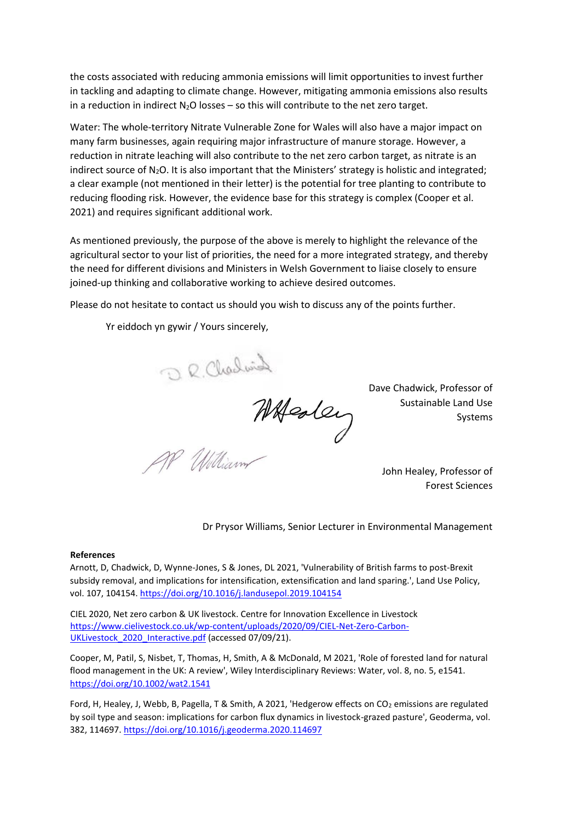the costs associated with reducing ammonia emissions will limit opportunities to invest further in tackling and adapting to climate change. However, mitigating ammonia emissions also results in a reduction in indirect  $N_2O$  losses – so this will contribute to the net zero target.

Water: The whole-territory Nitrate Vulnerable Zone for Wales will also have a major impact on many farm businesses, again requiring major infrastructure of manure storage. However, a reduction in nitrate leaching will also contribute to the net zero carbon target, as nitrate is an indirect source of  $N_2O$ . It is also important that the Ministers' strategy is holistic and integrated; a clear example (not mentioned in their letter) is the potential for tree planting to contribute to reducing flooding risk. However, the evidence base for this strategy is complex (Cooper et al. 2021) and requires significant additional work.

As mentioned previously, the purpose of the above is merely to highlight the relevance of the agricultural sector to your list of priorities, the need for a more integrated strategy, and thereby the need for different divisions and Ministers in Welsh Government to liaise closely to ensure joined-up thinking and collaborative working to achieve desired outcomes.

Please do not hesitate to contact us should you wish to discuss any of the points further.

Yr eiddoch yn gywir / Yours sincerely,

R. Charles Maden

Dave Chadwick, Professor of Sustainable Land Use Systems

> John Healey, Professor of Forest Sciences

Dr Prysor Williams, Senior Lecturer in Environmental Management

### **References**

Arnott, D, Chadwick, D, Wynne-Jones, S & Jones, DL 2021, 'Vulnerability of British farms to post-Brexit subsidy removal, and implications for intensification, extensification and land sparing.', Land Use Policy, vol. 107, 104154.<https://doi.org/10.1016/j.landusepol.2019.104154>

CIEL 2020, Net zero carbon & UK livestock. Centre for Innovation Excellence in Livestock [https://www.cielivestock.co.uk/wp-content/uploads/2020/09/CIEL-Net-Zero-Carbon-](https://www.cielivestock.co.uk/wp-content/uploads/2020/09/CIEL-Net-Zero-Carbon-UK-Livestock_2020_Interactive.pdf)UKLivestock 2020 Interactive.pdf [\(a](https://www.cielivestock.co.uk/wp-content/uploads/2020/09/CIEL-Net-Zero-Carbon-UK-Livestock_2020_Interactive.pdf)ccessed 07/09/21).

Cooper, M, Patil, S, Nisbet, T, Thomas, H, Smith, A & McDonald, M 2021, 'Role of forested land for natural flood management in the UK: A review', Wiley Interdisciplinary Reviews: Water, vol. 8, no. 5, e1541. <https://doi.org/10.1002/wat2.1541>

Ford, H, Healey, J, Webb, B, Pagella, T & Smith, A 2021, 'Hedgerow effects on CO<sub>2</sub> emissions are regulated by soil type and season: implications for carbon flux dynamics in livestock-grazed pasture', Geoderma, vol. 382, 114697.<https://doi.org/10.1016/j.geoderma.2020.114697>